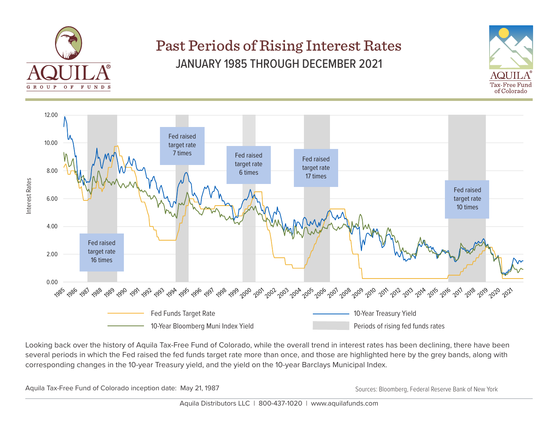

## Past Periods of Rising Interest Rates JANUARY 1985 THROUGH DECEMBER 2021





Looking back over the history of Aquila Tax-Free Fund of Colorado, while the overall trend in interest rates has been declining, there have been several periods in which the Fed raised the fed funds target rate more than once, and those are highlighted here by the grey bands, along with corresponding changes in the 10-year Treasury yield, and the yield on the 10-year Barclays Municipal Index.

Aquila Tax-Free Fund of Colorado inception date: May 21, 1987 May and May 20, the May 2011 Sources: Bloomberg, Federal Reserve Bank of New York